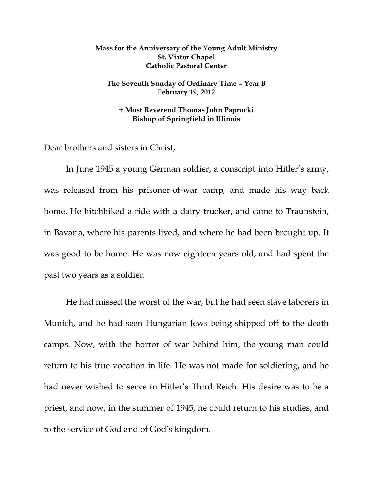## **Mass for the Anniversary of the Young Adult Ministry St. Viator Chapel Catholic Pastoral Center**

## **The Seventh Sunday of Ordinary Time – Year B February 19, 2012**

## **+ Most Reverend Thomas John Paprocki Bishop of Springfield in Illinois**

Dear brothers and sisters in Christ,

In June 1945 a young German soldier, a conscript into Hitler's army, was released from his prisoner-of-war camp, and made his way back home. He hitchhiked a ride with a dairy trucker, and came to Traunstein, in Bavaria, where his parents lived, and where he had been brought up. It was good to be home. He was now eighteen years old, and had spent the past two years as a soldier.

He had missed the worst of the war, but he had seen slave laborers in Munich, and he had seen Hungarian Jews being shipped off to the death camps. Now, with the horror of war behind him, the young man could return to his true vocation in life. He was not made for soldiering, and he had never wished to serve in Hitler's Third Reich. His desire was to be a priest, and now, in the summer of 1945, he could return to his studies, and to the service of God and of God's kingdom.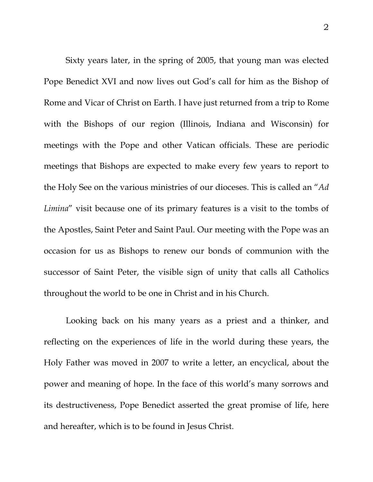Sixty years later, in the spring of 2005, that young man was elected Pope Benedict XVI and now lives out God's call for him as the Bishop of Rome and Vicar of Christ on Earth. I have just returned from a trip to Rome with the Bishops of our region (Illinois, Indiana and Wisconsin) for meetings with the Pope and other Vatican officials. These are periodic meetings that Bishops are expected to make every few years to report to the Holy See on the various ministries of our dioceses. This is called an "*Ad Limina*" visit because one of its primary features is a visit to the tombs of the Apostles, Saint Peter and Saint Paul. Our meeting with the Pope was an occasion for us as Bishops to renew our bonds of communion with the successor of Saint Peter, the visible sign of unity that calls all Catholics throughout the world to be one in Christ and in his Church.

Looking back on his many years as a priest and a thinker, and reflecting on the experiences of life in the world during these years, the Holy Father was moved in 2007 to write a letter, an encyclical, about the power and meaning of hope. In the face of this world's many sorrows and its destructiveness, Pope Benedict asserted the great promise of life, here and hereafter, which is to be found in Jesus Christ.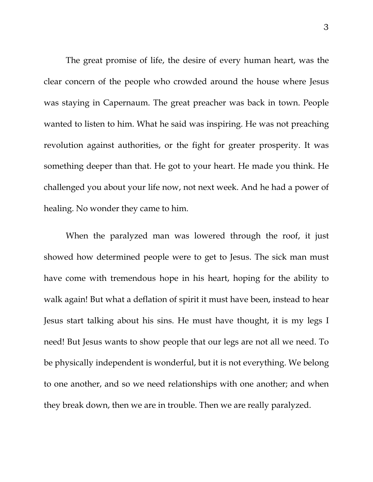The great promise of life, the desire of every human heart, was the clear concern of the people who crowded around the house where Jesus was staying in Capernaum. The great preacher was back in town. People wanted to listen to him. What he said was inspiring. He was not preaching revolution against authorities, or the fight for greater prosperity. It was something deeper than that. He got to your heart. He made you think. He challenged you about your life now, not next week. And he had a power of healing. No wonder they came to him.

When the paralyzed man was lowered through the roof, it just showed how determined people were to get to Jesus. The sick man must have come with tremendous hope in his heart, hoping for the ability to walk again! But what a deflation of spirit it must have been, instead to hear Jesus start talking about his sins. He must have thought, it is my legs I need! But Jesus wants to show people that our legs are not all we need. To be physically independent is wonderful, but it is not everything. We belong to one another, and so we need relationships with one another; and when they break down, then we are in trouble. Then we are really paralyzed.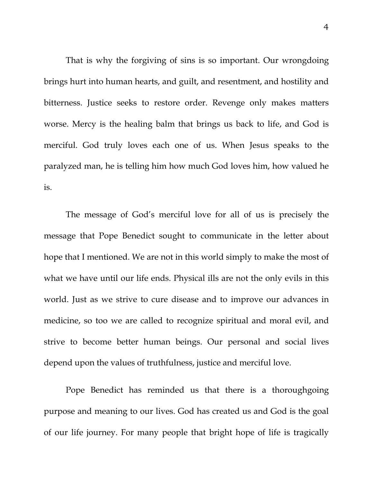That is why the forgiving of sins is so important. Our wrongdoing brings hurt into human hearts, and guilt, and resentment, and hostility and bitterness. Justice seeks to restore order. Revenge only makes matters worse. Mercy is the healing balm that brings us back to life, and God is merciful. God truly loves each one of us. When Jesus speaks to the paralyzed man, he is telling him how much God loves him, how valued he is.

The message of God's merciful love for all of us is precisely the message that Pope Benedict sought to communicate in the letter about hope that I mentioned. We are not in this world simply to make the most of what we have until our life ends. Physical ills are not the only evils in this world. Just as we strive to cure disease and to improve our advances in medicine, so too we are called to recognize spiritual and moral evil, and strive to become better human beings. Our personal and social lives depend upon the values of truthfulness, justice and merciful love.

Pope Benedict has reminded us that there is a thoroughgoing purpose and meaning to our lives. God has created us and God is the goal of our life journey. For many people that bright hope of life is tragically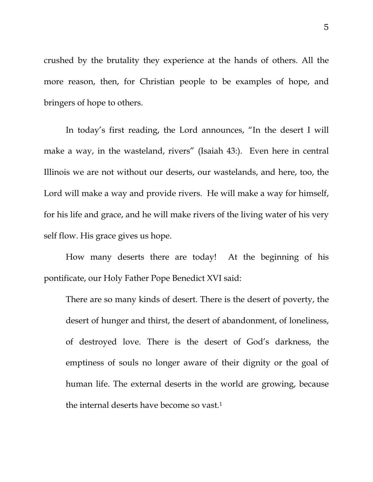crushed by the brutality they experience at the hands of others. All the more reason, then, for Christian people to be examples of hope, and bringers of hope to others.

 In today's first reading, the Lord announces, "In the desert I will make a way, in the wasteland, rivers" (Isaiah 43:). Even here in central Illinois we are not without our deserts, our wastelands, and here, too, the Lord will make a way and provide rivers. He will make a way for himself, for his life and grace, and he will make rivers of the living water of his very self flow. His grace gives us hope.

 How many deserts there are today! At the beginning of his pontificate, our Holy Father Pope Benedict XVI said:

There are so many kinds of desert. There is the desert of poverty, the desert of hunger and thirst, the desert of abandonment, of loneliness, of destroyed love. There is the desert of God's darkness, the emptiness of souls no longer aware of their dignity or the goal of human life. The external deserts in the world are growing, because the internal deserts have become so vast.1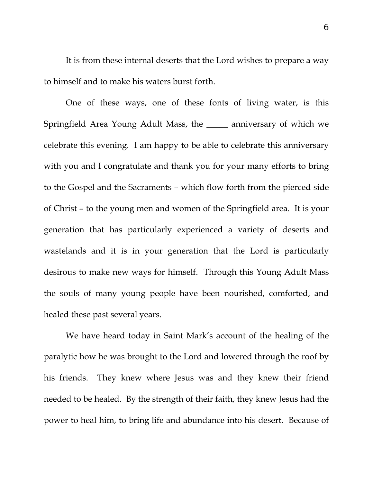It is from these internal deserts that the Lord wishes to prepare a way to himself and to make his waters burst forth.

One of these ways, one of these fonts of living water, is this Springfield Area Young Adult Mass, the \_\_\_\_\_ anniversary of which we celebrate this evening. I am happy to be able to celebrate this anniversary with you and I congratulate and thank you for your many efforts to bring to the Gospel and the Sacraments – which flow forth from the pierced side of Christ – to the young men and women of the Springfield area. It is your generation that has particularly experienced a variety of deserts and wastelands and it is in your generation that the Lord is particularly desirous to make new ways for himself. Through this Young Adult Mass the souls of many young people have been nourished, comforted, and healed these past several years.

We have heard today in Saint Mark's account of the healing of the paralytic how he was brought to the Lord and lowered through the roof by his friends. They knew where Jesus was and they knew their friend needed to be healed. By the strength of their faith, they knew Jesus had the power to heal him, to bring life and abundance into his desert. Because of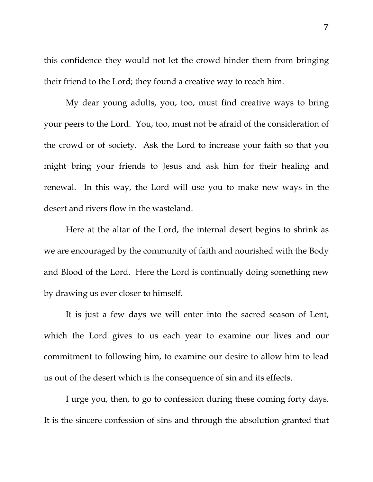this confidence they would not let the crowd hinder them from bringing their friend to the Lord; they found a creative way to reach him.

My dear young adults, you, too, must find creative ways to bring your peers to the Lord. You, too, must not be afraid of the consideration of the crowd or of society. Ask the Lord to increase your faith so that you might bring your friends to Jesus and ask him for their healing and renewal. In this way, the Lord will use you to make new ways in the desert and rivers flow in the wasteland.

Here at the altar of the Lord, the internal desert begins to shrink as we are encouraged by the community of faith and nourished with the Body and Blood of the Lord. Here the Lord is continually doing something new by drawing us ever closer to himself.

It is just a few days we will enter into the sacred season of Lent, which the Lord gives to us each year to examine our lives and our commitment to following him, to examine our desire to allow him to lead us out of the desert which is the consequence of sin and its effects.

I urge you, then, to go to confession during these coming forty days. It is the sincere confession of sins and through the absolution granted that